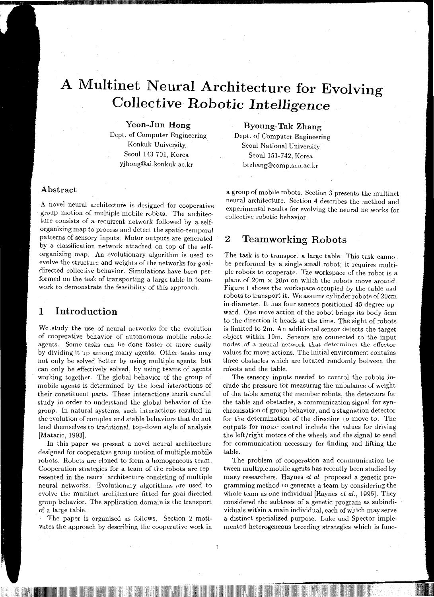# **A Multinet Neural Architecture for Evolving Collective** *Robotic Intelligence*

#### **Yeon-Jun Hong**

Dept. of Computer Engineering Konkuk University Seoul 143-701, Korea yjhong@ai.konkuk.ac.kr

**Byoung-Tak Zhang** 

Dept. of Computer Engineering Seoul National University-Seoul 151-742, Korea btzhang@comp.snu.ac.kr

#### **Abstract**

A novel neural architecture is designed for cooperative -group motion of multiple mobile robots. The architecture consists of a recurrent network followed by a selforganizing map to process and detect the spatia-temporal patterns of sensory inputs. Motor outputs are generated by a classification network attached on top of the selforganizing map. An evolutionary algorithm is used to evolve the structure and weights of the networks for goaldirected collective behavior. Simulations have been performed on the task of transporting a large table in teamwork to demonstrate the feasibility of this approach.

## **1 Introduction**

We .study the use of neural networks for the evolution of cooperative behavior of autonomous mobile robotic agents. Some *tasks* can be done faster or more easily by dividing it up among many agents. Other tasks may not only be solved better by using multipie agents, but can only be effectively solved, by using teams of agents working together. The global behavior of the group of mobile agents is determined by the local interactions of their constituent parts. These interactions merit careful study in order to understand the global behavior of the group. In natural systems, such interactions resulted in the evolution of complex and stable behaviors that do not lend themselves to traditional, top-down style of analysis (Mataric, 1993].

In this paper we present a novel neural architecture designed for cooperative group motion of multiple mobile robots. Robots are cloned to form a homogeneous team. Cooperation strategies for a team of the robots are represented in the neural architecture consisting of multiple neural networks. Evolutionary algorithms are used to evolve the multinet architecture fitted for goal-directed group behavior. The application domain is the transport of a large table.

The paper is organized as follows. Section 2 motivates the approach by describing the cooperative work in

a group of mobile robots. Section 3 presents the multinet neural architecture. Section 4 describes the method and experimental results for evolving the neural networks for collective robotic behavior.

## **2 Teamworking Robots**

The task is to transport a large table. This task cannot be performed by a single small robot; it requires multiple robots to cooperate. The workspace of the robot is a plane of  $20m \times 20m$  on which the robots move around. Figure 1 shows the workspace occupied by the table and robots to transport it. We assume cylinder robots of 20cm in diameter. It has four sensors positioned 45 degree upward. One move action of the robot brings its body Scm to the direction it heads at the time. The sight of robots is limited to 2m. An additional sensor detects the target object within lOrn. Sensors are connected to the input nodes of a neural network that determines the effector values for move actions. The initial environment contains three obstacles which are located randomly between the robots and the table.

The sensory inputs needed to control the robots include the pressure for measuring the unbalance of weight of the table among the member robots, the detectors for the table and obstacles, a communication signal for synchronization of group behavior, and a stagnation detector for the determination of the direction to move to. The outputs for motor control include the values for driving the left/right motors of the wheels and the signal to send for communication necessary for finding and lifting the table.

The problem of cooperation and communication between multiple mobile agents has recently been studied by many researchers. Haynes *et al.* proposed a genetic programming method to generate a team by considering the whole team as one individual (Haynes *et al.,* 1995]. They considered the subtrees of a genetic program as subindividuals within a main individual, each of which may serve a distinct specialized purpose. Luke and Spector implemented heterogeneous breeding strategies which is func-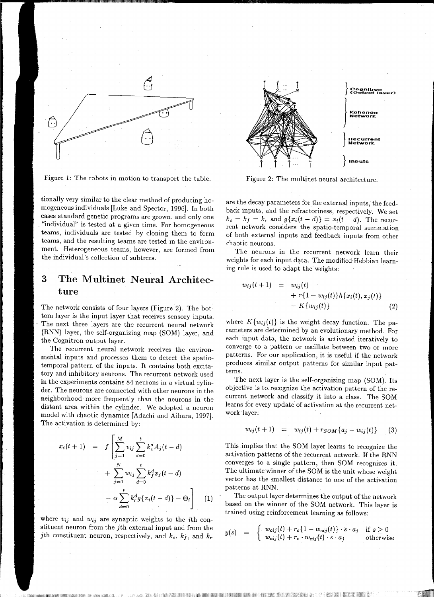

1111 II I I I

Figure 1: The robots in motion to transport the table.

tionally very similar to the clear method of producing homogeneous individuals [Luke and Spector, 1996]. In both cases standard genetic programs are grown, and only one "individual" is tested at a given time. For homogeneous teams, individuals are tested by cloning them to form teams, and the resulting teams are tested in the environment. Heterogeneous teams, however, are formed from the individual's collection of subtrees.

# **3 The Multinet Neural Architecture**

The network consists of four layers (Figure 2). The bottom layer is the input layer that receives sensory inputs. The next three layers are the recurrent neural network (RNN) layer, the self-organizing map (SOM) layer, and the Cognitron output layer.

The recurrent neural network receives the environmental inputs and processes them to detect the spatiatemporal pattern of the inputs. It contains both excitatory and inhibitory neurons. The recurrent network used in the experiments contains 84 neurons in a virtual cylinder. The neurons are connected with other neurons in the neighborhood more frequently than the neurons in the distant area within the cylinder. We adopted a neuron model with chaotic dynamics [Adachi and Aihara, 1997]. The activation is determined by:

$$
x_i(t+1) = f\left[\sum_{j=1}^M v_{ij} \sum_{d=0}^t k_e^d A_j(t-d) + \sum_{j=1}^N w_{ij} \sum_{d=0}^t k_f^d x_j(t-d) - \alpha \sum_{d=0}^t k_r^d g\{x_i(t-d)\} - \Theta_i\right]
$$
(1)

where  $v_{ij}$  and  $w_{ij}$  are synaptic weights to the *i*th constituent neuron from the jth external input and from the *j*th constituent neuron, respectively, and  $k_e$ ,  $k_f$ , and  $k_r$ 



Figure 2: The multinet neural architecture.

are the decay parameters for the external inputs, the feedback inputs, and the refractoriness, respectively. We set  $k_e = k_f = k_r$  and  $g\{x_i(t-d)\} = x_i(t-d)$ . The recurrent network considers the spatio-temporal summation of both external inputs and feedback inputs from other chaotic neurons.

The neurons in the recurrent network learn their weights for each input data. The modified Hebbian learning rule is used to adapt the weights:

$$
w_{ij}(t+1) = w_{ij}(t) + r\{1 - w_{ij}(t)\}h\{x_i(t), x_j(t)\} - K\{w_{ij}(t)\}
$$
\n(2)

where  $K\{w_{ij}(t)\}\$ is the weight decay function. The parameters are determined by an evolutionary method. For each input data, the network is activated iteratively to converge to a pattern or oscillate between two or more patterns. For our application, it is useful if the network produces similar output patterns for similar input patterns.

The next layer is the self-organizing map (SOM). Its objective is to. recognize the activation pattern of the recurrent network and classify it into a class. The SOM learns for every update of activation at the recurrent network layer:

$$
w_{ij}(t+1) = w_{ij}(t) + r_{SOM}\{a_j - w_{ij}(t)\} \qquad (3)
$$

This implies that the SOM layer learns to recognize the activation patterns of the recurrent network. If the RNN converges to a single pattern, then SOM recognizes it. The ultimate winner of the SOM is the unit whose weight vector has the smallest distance to one of the activation patterns at RNN.

The output layer determines the output of the network based on the winner of the SOM network. This layer is trained using reinforcement learning as follows:

$$
y(s) = \begin{cases} w_{cij}(t) + r_c \{1 - w_{cij}(t)\} \cdot s \cdot a_j & \text{if } s \ge 0\\ w_{cij}(t) + r_c \cdot w_{cij}(t) \cdot s \cdot a_j & \text{otherwise} \end{cases}
$$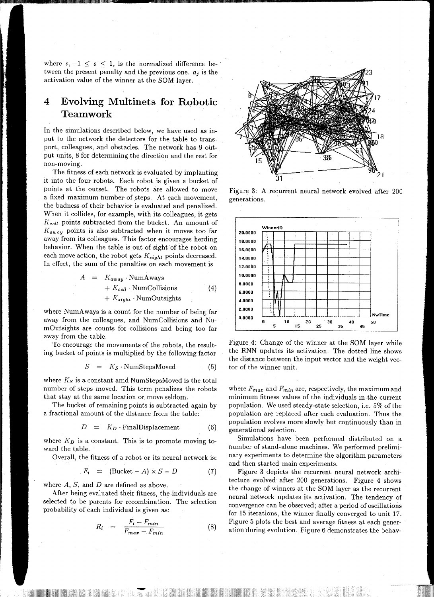where  $s, -1 \leq s \leq 1$ , is the normalized difference between the present penalty and the previous one.  $a_j$  is the activation value of the winner at the SOM layer.

IKI IFINI IEFILIERINE FERHANDI IEFRANSIJEHT

# **4 Evolving Multinets for Robotic Teamwork**

In the simulations described below, we have used as input to the network the detectors for the table to transport, colleagues, and obstacles. The network has 9 output units, 8 for determining the direction and the rest for non-moving.

The fitness of each network is evaluated by implanting it into the four robots. Each robot is given a bucket of points at the outset. The robots. are allowed to move a fixed maximum humber of steps. At each movement, the badness of their behavior is evaluated and penalized. When it collides, for example, with its colleagues, it gets *Kcoll* points subtracted from the bucket. An amount of *Kaway* points is also subtracted when it moves too far away from its colleagues. This factor encourages herding behavior. When the table is out of sight of the robot on each move action, the robot gets *Ksight* points decreased. In effect, the sum of the penalties on each movement is

$$
A = K_{away} \cdot NumAways
$$
  
+  $K_{coll} \cdot NumCollisions$  (4)  
+  $K_{sight} \cdot NumOutsights$ 

where NumAways is a count for the number of being far away from the colleagues, and NumCollisions and NumOutsights are counts for collisions and being too far away from the table.

To encourage the movements of the robots, the resulting bucket of points is multiplied by the following factor

$$
S = K_S \cdot \text{NumStepsMoved} \tag{5}
$$

where  $K_S$  is a constant amd NumStepsMoved is the total number of steps moved. This term penalizes the robots that stay at the same location or move seldom.

The bucket of remaining points is subtracted again by a fractional amount of the distance from the table:

$$
D = K_D \cdot \text{FinalDisplacement} \tag{6}
$$

where  $K<sub>D</sub>$  is a constant. This is to promote moving toward the table.

Overall, the fitness of a robot or its neural network is:

$$
F_i = (\text{Backet} - A) \times S - D \tag{7}
$$

where  $A$ ,  $S$ , and  $D$  are defined as above.

After being evaluated their fitness, the individuals are selected to be parents for recombination. The selection probability of each individual is given as:

$$
R_i = \frac{F_i - F_{min}}{F_{max} - F_{min}} \tag{8}
$$

-<br>11:11 :l1'



Figure 3: A recurrent neural network evolved after 200 generations.



Figure 4: Change of the winner at the SOM layer while the RNN updates its activation. The dotted line shows the distance between the input vector and the weight vector of the winner unit.

where *Fmax* and *Fmin* are, respectively, the maximum and minimum fitness values of the individuals in the current population. We used steady-state selection, i.e. 5% of the population are replaced after each evaluation. Thus the population evolves more slowly but continuously than in generational selection.

Simulations have been performed distributed on a number of stand-alone machines. We performed preliminary experiments to determine the algorithm parameters and then started main experiments.

Figure 3 depicts the recurrent neural network architecture evolved after 200 generations. Figure 4 shows the change of winners at the SOM layer as the recurrent neural network updates its activation. The tendency of convergence can be observed; after a period of oscillations for 15 iterations, the winner finally converged to unit 17. Figure 5 plots the best and average fitness at each generation during evolution. Figure 6 demonstrates the behav-